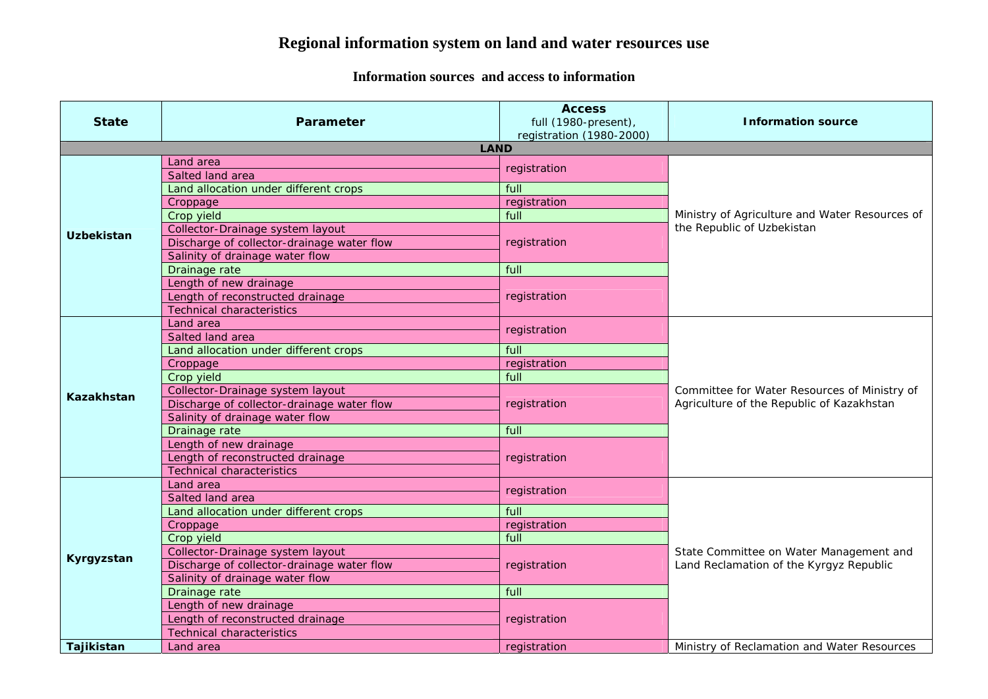## **Regional information system on land and water resources use**

## **Information sources and access to information**

| <b>State</b>      | Parameter                                  | <b>Access</b><br>full (1980-present),<br>registration (1980-2000) | <b>Information source</b>                      |
|-------------------|--------------------------------------------|-------------------------------------------------------------------|------------------------------------------------|
|                   | <b>LAND</b>                                |                                                                   |                                                |
|                   | Land area                                  | registration                                                      |                                                |
|                   | Salted land area                           |                                                                   |                                                |
|                   | Land allocation under different crops      | full                                                              |                                                |
|                   | Croppage                                   | registration                                                      |                                                |
|                   | Crop yield                                 | full                                                              | Ministry of Agriculture and Water Resources of |
| <b>Uzbekistan</b> | Collector-Drainage system layout           |                                                                   | the Republic of Uzbekistan                     |
|                   | Discharge of collector-drainage water flow | registration                                                      |                                                |
|                   | Salinity of drainage water flow            |                                                                   |                                                |
|                   | Drainage rate                              | full                                                              |                                                |
|                   | Length of new drainage                     |                                                                   |                                                |
|                   | Length of reconstructed drainage           | registration                                                      |                                                |
|                   | <b>Technical characteristics</b>           |                                                                   |                                                |
|                   | Land area<br>Salted land area              | registration                                                      |                                                |
|                   |                                            | full                                                              |                                                |
|                   | Land allocation under different crops      |                                                                   |                                                |
|                   | Croppage<br>Crop yield                     | registration<br>full                                              |                                                |
|                   | Collector-Drainage system layout           |                                                                   | Committee for Water Resources of Ministry of   |
| <b>Kazakhstan</b> | Discharge of collector-drainage water flow | registration                                                      | Agriculture of the Republic of Kazakhstan      |
|                   | Salinity of drainage water flow            |                                                                   |                                                |
|                   | Drainage rate                              | full                                                              |                                                |
|                   | Length of new drainage                     |                                                                   |                                                |
|                   | Length of reconstructed drainage           | registration                                                      |                                                |
|                   | <b>Technical characteristics</b>           |                                                                   |                                                |
|                   | Land area                                  |                                                                   |                                                |
|                   | Salted land area                           | registration                                                      |                                                |
|                   | Land allocation under different crops      | full                                                              |                                                |
|                   | Croppage                                   | registration                                                      |                                                |
|                   | Crop yield                                 | full                                                              |                                                |
|                   | Collector-Drainage system layout           |                                                                   | State Committee on Water Management and        |
| Kyrgyzstan        | Discharge of collector-drainage water flow | registration                                                      | Land Reclamation of the Kyrgyz Republic        |
|                   | Salinity of drainage water flow            |                                                                   |                                                |
|                   | Drainage rate                              | full                                                              |                                                |
|                   | Length of new drainage                     |                                                                   |                                                |
|                   | Length of reconstructed drainage           | registration                                                      |                                                |
|                   | <b>Technical characteristics</b>           |                                                                   |                                                |
| Tajikistan        | Land area                                  | registration                                                      | Ministry of Reclamation and Water Resources    |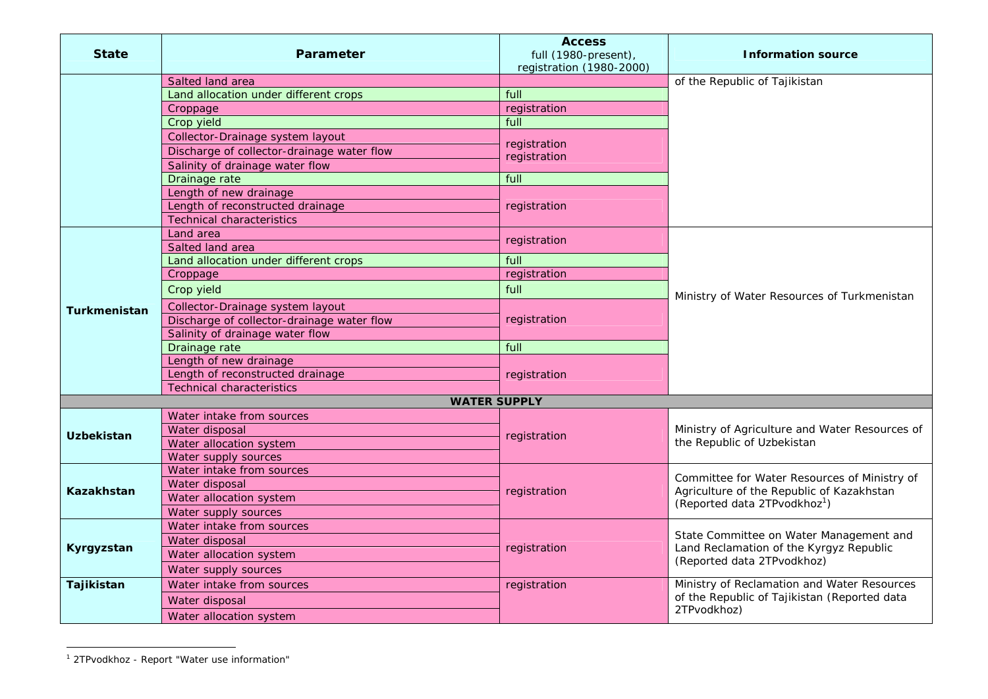| <b>State</b>        | <b>Parameter</b>                           | <b>Access</b><br>full (1980-present),<br>registration (1980-2000) | <b>Information source</b>                                                                                                             |
|---------------------|--------------------------------------------|-------------------------------------------------------------------|---------------------------------------------------------------------------------------------------------------------------------------|
|                     | Salted land area                           |                                                                   | of the Republic of Tajikistan                                                                                                         |
|                     | Land allocation under different crops      | full                                                              |                                                                                                                                       |
|                     | Croppage                                   | registration                                                      |                                                                                                                                       |
|                     | Crop yield                                 | full                                                              |                                                                                                                                       |
|                     | Collector-Drainage system layout           |                                                                   |                                                                                                                                       |
|                     | Discharge of collector-drainage water flow | registration                                                      |                                                                                                                                       |
|                     | Salinity of drainage water flow            | registration                                                      |                                                                                                                                       |
|                     | Drainage rate                              | full                                                              |                                                                                                                                       |
|                     | Length of new drainage                     |                                                                   |                                                                                                                                       |
|                     | Length of reconstructed drainage           | registration                                                      |                                                                                                                                       |
|                     | <b>Technical characteristics</b>           |                                                                   |                                                                                                                                       |
|                     | Land area                                  |                                                                   |                                                                                                                                       |
|                     | Salted land area                           | registration                                                      |                                                                                                                                       |
|                     | Land allocation under different crops      | full                                                              |                                                                                                                                       |
|                     | Croppage                                   | registration                                                      |                                                                                                                                       |
|                     | Crop yield                                 | full                                                              | Ministry of Water Resources of Turkmenistan                                                                                           |
| <b>Turkmenistan</b> | Collector-Drainage system layout           | registration                                                      |                                                                                                                                       |
|                     | Discharge of collector-drainage water flow |                                                                   |                                                                                                                                       |
|                     | Salinity of drainage water flow            |                                                                   |                                                                                                                                       |
|                     | Drainage rate                              | full                                                              |                                                                                                                                       |
|                     | Length of new drainage                     | registration                                                      |                                                                                                                                       |
|                     | Length of reconstructed drainage           |                                                                   |                                                                                                                                       |
|                     | <b>Technical characteristics</b>           |                                                                   |                                                                                                                                       |
|                     | <b>WATER SUPPLY</b>                        |                                                                   |                                                                                                                                       |
|                     | Water intake from sources                  | registration<br>the Republic of Uzbekistan                        |                                                                                                                                       |
| <b>Uzbekistan</b>   | Water disposal                             |                                                                   | Ministry of Agriculture and Water Resources of                                                                                        |
|                     | Water allocation system                    |                                                                   |                                                                                                                                       |
|                     | Water supply sources                       |                                                                   |                                                                                                                                       |
|                     | Water intake from sources                  | registration                                                      | Committee for Water Resources of Ministry of<br>Agriculture of the Republic of Kazakhstan<br>(Reported data 2TPvodkhoz <sup>1</sup> ) |
| Kazakhstan          | Water disposal                             |                                                                   |                                                                                                                                       |
|                     | Water allocation system                    |                                                                   |                                                                                                                                       |
|                     | Water supply sources                       |                                                                   |                                                                                                                                       |
|                     | Water intake from sources                  | registration                                                      | State Committee on Water Management and<br>Land Reclamation of the Kyrgyz Republic<br>(Reported data 2TPvodkhoz)                      |
| Kyrgyzstan          | Water disposal                             |                                                                   |                                                                                                                                       |
|                     | Water allocation system                    |                                                                   |                                                                                                                                       |
|                     | Water supply sources                       |                                                                   |                                                                                                                                       |
| Tajikistan          | Water intake from sources                  | registration                                                      | Ministry of Reclamation and Water Resources                                                                                           |
|                     | Water disposal                             |                                                                   | of the Republic of Tajikistan (Reported data                                                                                          |
|                     | Water allocation system                    |                                                                   | 2TPvodkhoz)                                                                                                                           |

<sup>1 2</sup>TPvodkhoz - Report "Water use information"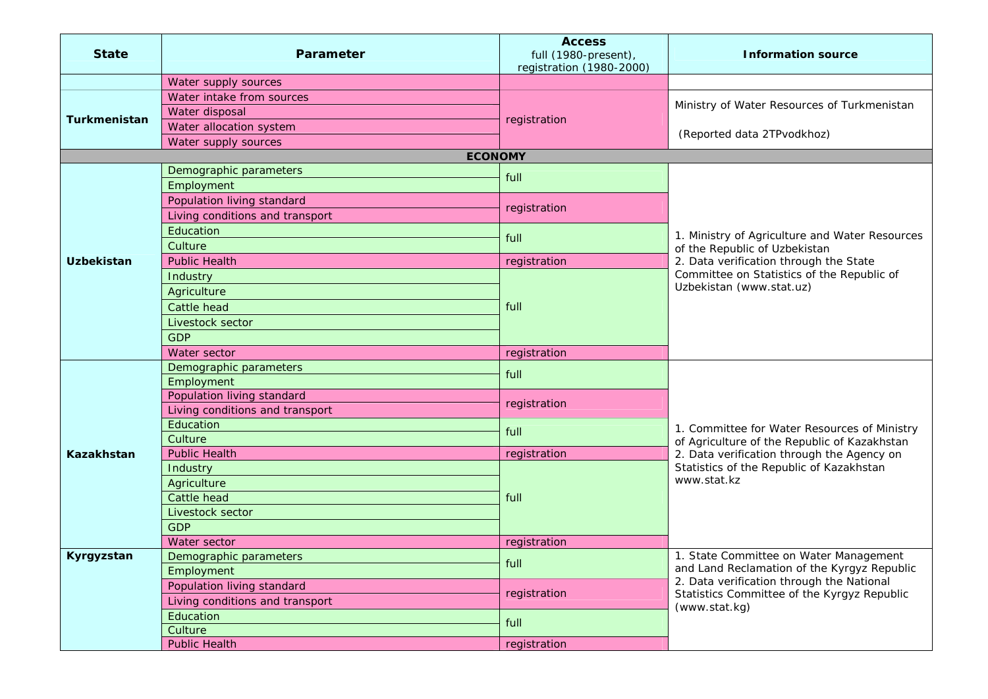| <b>State</b>      | <b>Parameter</b>                | <b>Access</b><br>full (1980-present),<br>registration (1980-2000) | <b>Information source</b>                                                                                                                                                                             |  |
|-------------------|---------------------------------|-------------------------------------------------------------------|-------------------------------------------------------------------------------------------------------------------------------------------------------------------------------------------------------|--|
|                   | Water supply sources            |                                                                   |                                                                                                                                                                                                       |  |
| Turkmenistan      | Water intake from sources       | registration                                                      | Ministry of Water Resources of Turkmenistan                                                                                                                                                           |  |
|                   | Water disposal                  |                                                                   |                                                                                                                                                                                                       |  |
|                   | Water allocation system         |                                                                   |                                                                                                                                                                                                       |  |
|                   | Water supply sources            |                                                                   | (Reported data 2TPvodkhoz)                                                                                                                                                                            |  |
| <b>ECONOMY</b>    |                                 |                                                                   |                                                                                                                                                                                                       |  |
|                   | Demographic parameters          | full                                                              |                                                                                                                                                                                                       |  |
|                   | Employment                      |                                                                   |                                                                                                                                                                                                       |  |
|                   | Population living standard      | registration                                                      |                                                                                                                                                                                                       |  |
|                   | Living conditions and transport |                                                                   |                                                                                                                                                                                                       |  |
|                   | Education                       |                                                                   | 1. Ministry of Agriculture and Water Resources                                                                                                                                                        |  |
|                   | Culture                         | full                                                              | of the Republic of Uzbekistan                                                                                                                                                                         |  |
| <b>Uzbekistan</b> | <b>Public Health</b>            | registration                                                      | 2. Data verification through the State                                                                                                                                                                |  |
|                   | Industry                        |                                                                   | Committee on Statistics of the Republic of                                                                                                                                                            |  |
|                   | Agriculture                     |                                                                   | Uzbekistan (www.stat.uz)                                                                                                                                                                              |  |
|                   | Cattle head                     | full                                                              |                                                                                                                                                                                                       |  |
|                   | Livestock sector                |                                                                   |                                                                                                                                                                                                       |  |
|                   | <b>GDP</b>                      |                                                                   |                                                                                                                                                                                                       |  |
|                   | Water sector                    | registration                                                      |                                                                                                                                                                                                       |  |
|                   | Demographic parameters          |                                                                   | 1. Committee for Water Resources of Ministry<br>of Agriculture of the Republic of Kazakhstan<br>2. Data verification through the Agency on<br>Statistics of the Republic of Kazakhstan<br>www.stat.kz |  |
|                   | Employment                      | full                                                              |                                                                                                                                                                                                       |  |
|                   | Population living standard      |                                                                   |                                                                                                                                                                                                       |  |
|                   | Living conditions and transport | registration                                                      |                                                                                                                                                                                                       |  |
|                   | Education                       | full                                                              |                                                                                                                                                                                                       |  |
|                   | Culture                         |                                                                   |                                                                                                                                                                                                       |  |
| <b>Kazakhstan</b> | <b>Public Health</b>            | registration                                                      |                                                                                                                                                                                                       |  |
|                   | Industry                        | full                                                              |                                                                                                                                                                                                       |  |
|                   | Agriculture                     |                                                                   |                                                                                                                                                                                                       |  |
|                   | Cattle head                     |                                                                   |                                                                                                                                                                                                       |  |
|                   | Livestock sector                |                                                                   |                                                                                                                                                                                                       |  |
|                   | <b>GDP</b>                      |                                                                   |                                                                                                                                                                                                       |  |
|                   | Water sector                    | registration                                                      |                                                                                                                                                                                                       |  |
| Kyrgyzstan        | Demographic parameters          | full                                                              | 1. State Committee on Water Management<br>and Land Reclamation of the Kyrgyz Republic<br>2. Data verification through the National<br>Statistics Committee of the Kyrgyz Republic<br>(www.stat.kg)    |  |
|                   | Employment                      |                                                                   |                                                                                                                                                                                                       |  |
|                   | Population living standard      | registration                                                      |                                                                                                                                                                                                       |  |
|                   | Living conditions and transport |                                                                   |                                                                                                                                                                                                       |  |
|                   | Education                       | full                                                              |                                                                                                                                                                                                       |  |
|                   | Culture                         |                                                                   |                                                                                                                                                                                                       |  |
|                   | <b>Public Health</b>            | registration                                                      |                                                                                                                                                                                                       |  |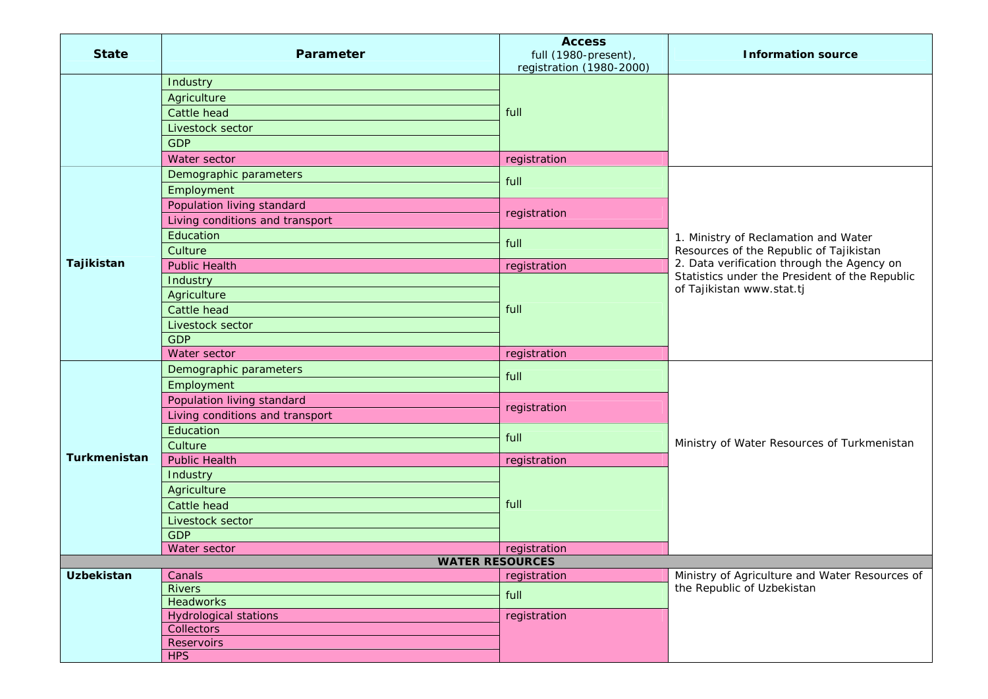| <b>State</b>        | Parameter                       | <b>Access</b><br>full (1980-present),<br>registration (1980-2000) | <b>Information source</b>                                                    |
|---------------------|---------------------------------|-------------------------------------------------------------------|------------------------------------------------------------------------------|
|                     | Industry                        |                                                                   |                                                                              |
|                     | Agriculture                     |                                                                   |                                                                              |
|                     | Cattle head                     | full                                                              |                                                                              |
|                     | Livestock sector                |                                                                   |                                                                              |
|                     | <b>GDP</b>                      |                                                                   |                                                                              |
|                     | Water sector                    | registration                                                      |                                                                              |
|                     | Demographic parameters          | full                                                              |                                                                              |
|                     | Employment                      |                                                                   |                                                                              |
|                     | Population living standard      |                                                                   |                                                                              |
|                     | Living conditions and transport | registration                                                      |                                                                              |
|                     | Education                       |                                                                   | 1. Ministry of Reclamation and Water                                         |
|                     | Culture                         | full                                                              | Resources of the Republic of Tajikistan                                      |
| Tajikistan          | <b>Public Health</b>            | registration                                                      | 2. Data verification through the Agency on                                   |
|                     | Industry                        |                                                                   | Statistics under the President of the Republic<br>of Tajikistan www.stat.tj  |
|                     | Agriculture                     |                                                                   |                                                                              |
|                     | Cattle head                     | full                                                              |                                                                              |
|                     | Livestock sector                |                                                                   |                                                                              |
|                     | <b>GDP</b>                      |                                                                   |                                                                              |
|                     | Water sector                    | registration                                                      |                                                                              |
|                     | Demographic parameters          | full                                                              |                                                                              |
|                     | Employment                      |                                                                   |                                                                              |
|                     | Population living standard      |                                                                   |                                                                              |
|                     | Living conditions and transport | registration                                                      |                                                                              |
|                     | Education                       | full                                                              | Ministry of Water Resources of Turkmenistan                                  |
|                     | Culture                         |                                                                   |                                                                              |
| <b>Turkmenistan</b> | <b>Public Health</b>            | registration                                                      |                                                                              |
|                     | Industry                        |                                                                   |                                                                              |
|                     | Agriculture                     | full                                                              |                                                                              |
|                     | Cattle head                     |                                                                   |                                                                              |
|                     | Livestock sector                |                                                                   |                                                                              |
|                     | <b>GDP</b>                      |                                                                   |                                                                              |
|                     | Water sector                    | registration                                                      |                                                                              |
|                     | <b>WATER RESOURCES</b>          |                                                                   |                                                                              |
| <b>Uzbekistan</b>   | Canals<br><b>Rivers</b>         | registration                                                      | Ministry of Agriculture and Water Resources of<br>the Republic of Uzbekistan |
|                     | Headworks                       | full                                                              |                                                                              |
|                     | <b>Hydrological stations</b>    | registration                                                      |                                                                              |
|                     | Collectors                      |                                                                   |                                                                              |
|                     | Reservoirs                      |                                                                   |                                                                              |
|                     | <b>HPS</b>                      |                                                                   |                                                                              |